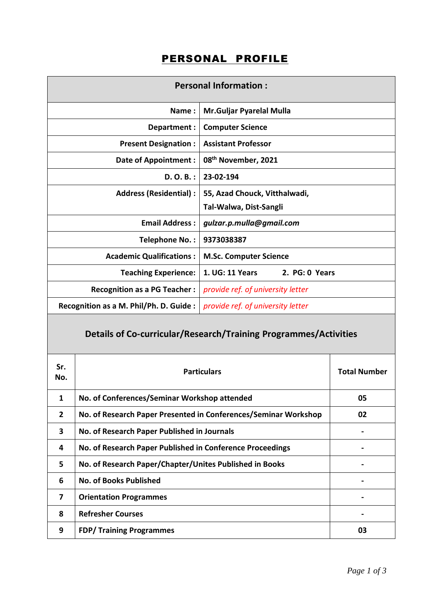## PERSONAL PROFILE

| <b>Personal Information:</b>            |                                   |  |  |  |
|-----------------------------------------|-----------------------------------|--|--|--|
| Name:                                   | Mr.Guljar Pyarelal Mulla          |  |  |  |
| Department:                             | <b>Computer Science</b>           |  |  |  |
| <b>Present Designation:</b>             | <b>Assistant Professor</b>        |  |  |  |
| <b>Date of Appointment:</b>             | 08 <sup>th</sup> November, 2021   |  |  |  |
| $D. O. B.$ :                            | 23-02-194                         |  |  |  |
| <b>Address (Residential):</b>           | 55, Azad Chouck, Vitthalwadi,     |  |  |  |
|                                         | Tal-Walwa, Dist-Sangli            |  |  |  |
| <b>Email Address:</b>                   | gulzar.p.mulla@gmail.com          |  |  |  |
| Telephone No.:                          | 9373038387                        |  |  |  |
| <b>Academic Qualifications:</b>         | <b>M.Sc. Computer Science</b>     |  |  |  |
| <b>Teaching Experience:</b>             | 1. UG: 11 Years<br>2. PG: 0 Years |  |  |  |
| <b>Recognition as a PG Teacher:</b>     | provide ref. of university letter |  |  |  |
| Recognition as a M. Phil/Ph. D. Guide : | provide ref. of university letter |  |  |  |
|                                         |                                   |  |  |  |

## **Details of Co-curricular/Research/Training Programmes/Activities**

| Sr.<br>No.     | <b>Particulars</b>                                              | <b>Total Number</b> |
|----------------|-----------------------------------------------------------------|---------------------|
| 1              | No. of Conferences/Seminar Workshop attended                    | 05                  |
| $\overline{2}$ | No. of Research Paper Presented in Conferences/Seminar Workshop | 02                  |
| 3              | No. of Research Paper Published in Journals                     |                     |
| 4              | No. of Research Paper Published in Conference Proceedings       |                     |
| 5              | No. of Research Paper/Chapter/Unites Published in Books         |                     |
| 6              | <b>No. of Books Published</b>                                   |                     |
| 7              | <b>Orientation Programmes</b>                                   |                     |
| 8              | <b>Refresher Courses</b>                                        |                     |
| 9              | <b>FDP/Training Programmes</b>                                  | 03                  |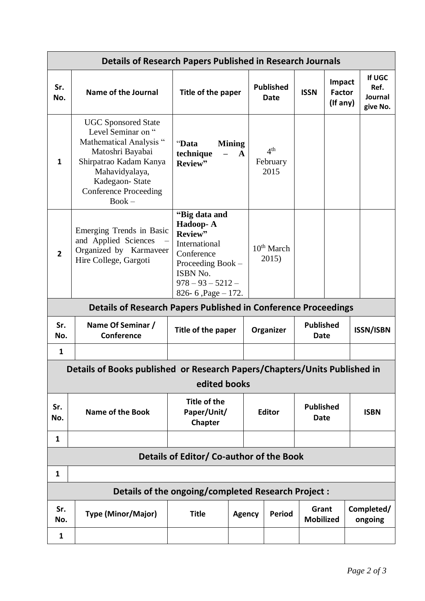| <b>Details of Research Papers Published in Research Journals</b>                          |                                                                                                                                                                                                           |                                                                                                                                                     |                               |                                     |                                 |                                     |  |                                       |
|-------------------------------------------------------------------------------------------|-----------------------------------------------------------------------------------------------------------------------------------------------------------------------------------------------------------|-----------------------------------------------------------------------------------------------------------------------------------------------------|-------------------------------|-------------------------------------|---------------------------------|-------------------------------------|--|---------------------------------------|
| Sr.<br>No.                                                                                | <b>Name of the Journal</b>                                                                                                                                                                                | Title of the paper                                                                                                                                  |                               | <b>Published</b><br>Date            | <b>ISSN</b>                     | Impact<br><b>Factor</b><br>(If any) |  | If UGC<br>Ref.<br>Journal<br>give No. |
| 1                                                                                         | <b>UGC Sponsored State</b><br>Level Seminar on "<br>Mathematical Analysis "<br>Matoshri Bayabai<br>Shirpatrao Kadam Kanya<br>Mahavidyalaya,<br>Kadegaon-State<br><b>Conference Proceeding</b><br>$Book -$ | "Data<br>technique<br>Review"                                                                                                                       | <b>Mining</b><br>$\mathbf{A}$ | 4 <sup>th</sup><br>February<br>2015 |                                 |                                     |  |                                       |
| $\overline{2}$                                                                            | Emerging Trends in Basic<br>and Applied Sciences<br>Organized by Karmaveer<br>Hire College, Gargoti                                                                                                       | "Big data and<br>Hadoop-A<br>Review"<br>International<br>Conference<br>Proceeding Book -<br>ISBN No.<br>$978 - 93 - 5212 -$<br>826-6, Page $-172$ . |                               | 10 <sup>th</sup> March<br>2015)     |                                 |                                     |  |                                       |
|                                                                                           | <b>Details of Research Papers Published in Conference Proceedings</b>                                                                                                                                     |                                                                                                                                                     |                               |                                     |                                 |                                     |  |                                       |
| Sr.<br>No.                                                                                | Name Of Seminar /<br>Conference                                                                                                                                                                           | Title of the paper                                                                                                                                  |                               | Organizer                           | <b>Published</b><br>Date        |                                     |  | <b>ISSN/ISBN</b>                      |
| $\mathbf{1}$                                                                              |                                                                                                                                                                                                           |                                                                                                                                                     |                               |                                     |                                 |                                     |  |                                       |
| Details of Books published or Research Papers/Chapters/Units Published in<br>edited books |                                                                                                                                                                                                           |                                                                                                                                                     |                               |                                     |                                 |                                     |  |                                       |
| Sr.<br>No.                                                                                | <b>Name of the Book</b>                                                                                                                                                                                   | <b>Title of the</b><br>Paper/Unit/<br><b>Chapter</b>                                                                                                |                               | <b>Editor</b>                       | <b>Published</b><br><b>Date</b> |                                     |  | <b>ISBN</b>                           |
| 1                                                                                         |                                                                                                                                                                                                           |                                                                                                                                                     |                               |                                     |                                 |                                     |  |                                       |
| Details of Editor/ Co-author of the Book                                                  |                                                                                                                                                                                                           |                                                                                                                                                     |                               |                                     |                                 |                                     |  |                                       |
|                                                                                           |                                                                                                                                                                                                           |                                                                                                                                                     |                               |                                     |                                 |                                     |  |                                       |
| 1                                                                                         |                                                                                                                                                                                                           |                                                                                                                                                     |                               |                                     |                                 |                                     |  |                                       |
|                                                                                           |                                                                                                                                                                                                           | Details of the ongoing/completed Research Project :                                                                                                 |                               |                                     |                                 |                                     |  |                                       |
| Sr.<br>No.<br>$\mathbf{1}$                                                                | <b>Type (Minor/Major)</b>                                                                                                                                                                                 | <b>Title</b>                                                                                                                                        | <b>Agency</b>                 | <b>Period</b>                       | Grant<br><b>Mobilized</b>       |                                     |  | Completed/<br>ongoing                 |